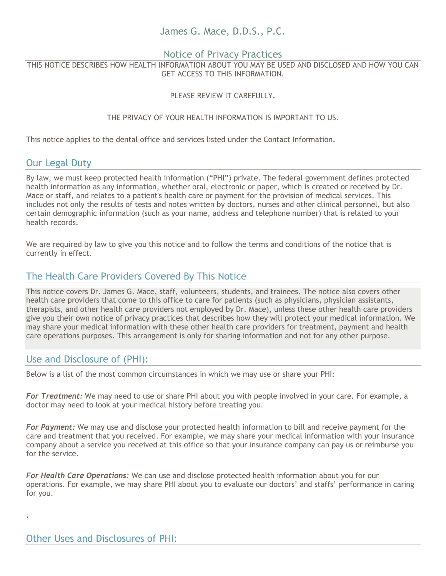# James G. Mace, D.D.S., P.C.

#### Notice of Privacy Practices

THIS NOTICE DESCRIBES HOW HEALTH INFORMATION ABOUT YOU MAY BE USED AND DISCLOSED AND HOW YOU CAN GET ACCESS TO THIS INFORMATION.

#### PLEASE REVIEW IT CAREFULLY**.**

#### THE PRIVACY OF YOUR HEALTH INFORMATION IS IMPORTANT TO US.

This notice applies to the dental office and services listed under the Contact Information.

## Our Legal Duty

By law, we must keep protected health information ("PHI") private. The federal government defines protected health information as any information, whether oral, electronic or paper, which is created or received by Dr. Mace or staff, and relates to a patient's health care or payment for the provision of medical services. This includes not only the results of tests and notes written by doctors, nurses and other clinical personnel, but also certain demographic information (such as your name, address and telephone number) that is related to your health records.

We are required by law to give you this notice and to follow the terms and conditions of the notice that is currently in effect.

# The Health Care Providers Covered By This Notice

This notice covers Dr. James G. Mace, staff, volunteers, students, and trainees. The notice also covers other health care providers that come to this office to care for patients (such as physicians, physician assistants, therapists, and other health care providers not employed by Dr. Mace), unless these other health care providers give you their own notice of privacy practices that describes how they will protect your medical information. We may share your medical information with these other health care providers for treatment, payment and health care operations purposes. This arrangement is only for sharing information and not for any other purpose.

# Use and Disclosure of (PHI):

Below is a list of the most common circumstances in which we may use or share your PHI:

*For Treatment:* We may need to use or share PHI about you with people involved in your care. For example, a doctor may need to look at your medical history before treating you.

*For Payment:* We may use and disclose your protected health information to bill and receive payment for the care and treatment that you received. For example, we may share your medical information with your insurance company about a service you received at this office so that your insurance company can pay us or reimburse you for the service.

*For Health Care Operations:* We can use and disclose protected health information about you for our operations. For example, we may share PHI about you to evaluate our doctors' and staffs' performance in caring for you.

.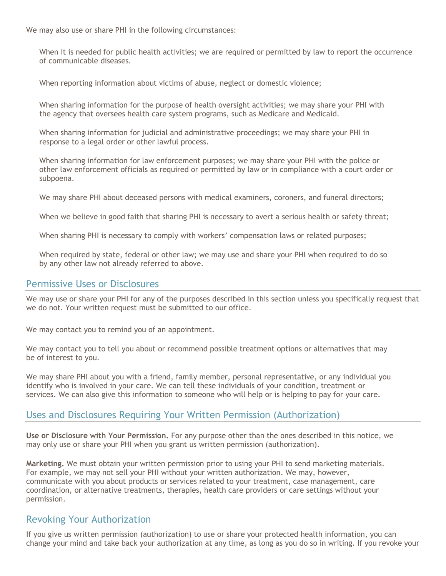We may also use or share PHI in the following circumstances:

When it is needed for public health activities; we are required or permitted by law to report the occurrence of communicable diseases.

When reporting information about victims of abuse, neglect or domestic violence;

When sharing information for the purpose of health oversight activities; we may share your PHI with the agency that oversees health care system programs, such as Medicare and Medicaid.

When sharing information for judicial and administrative proceedings; we may share your PHI in response to a legal order or other lawful process.

When sharing information for law enforcement purposes; we may share your PHI with the police or other law enforcement officials as required or permitted by law or in compliance with a court order or subpoena.

We may share PHI about deceased persons with medical examiners, coroners, and funeral directors;

When we believe in good faith that sharing PHI is necessary to avert a serious health or safety threat;

When sharing PHI is necessary to comply with workers' compensation laws or related purposes;

When required by state, federal or other law; we may use and share your PHI when required to do so by any other law not already referred to above.

#### Permissive Uses or Disclosures

We may use or share your PHI for any of the purposes described in this section unless you specifically request that we do not. Your written request must be submitted to our office.

We may contact you to remind you of an appointment.

We may contact you to tell you about or recommend possible treatment options or alternatives that may be of interest to you.

We may share PHI about you with a friend, family member, personal representative, or any individual you identify who is involved in your care. We can tell these individuals of your condition, treatment or services. We can also give this information to someone who will help or is helping to pay for your care.

### Uses and Disclosures Requiring Your Written Permission (Authorization)

**Use or Disclosure with Your Permission.** For any purpose other than the ones described in this notice, we may only use or share your PHI when you grant us written permission (authorization).

**Marketing.** We must obtain your written permission prior to using your PHI to send marketing materials. For example, we may not sell your PHI without your written authorization. We may, however, communicate with you about products or services related to your treatment, case management, care coordination, or alternative treatments, therapies, health care providers or care settings without your permission.

## Revoking Your Authorization

If you give us written permission (authorization) to use or share your protected health information, you can change your mind and take back your authorization at any time, as long as you do so in writing. If you revoke your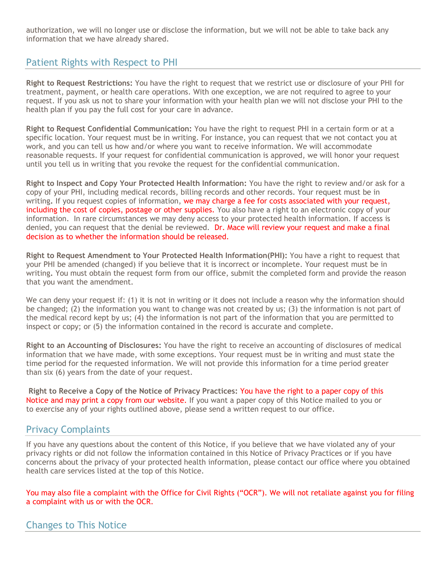authorization, we will no longer use or disclose the information, but we will not be able to take back any information that we have already shared.

## Patient Rights with Respect to PHI

**Right to Request Restrictions:** You have the right to request that we restrict use or disclosure of your PHI for treatment, payment, or health care operations. With one exception, we are not required to agree to your request. If you ask us not to share your information with your health plan we will not disclose your PHI to the health plan if you pay the full cost for your care in advance.

**Right to Request Confidential Communication:** You have the right to request PHI in a certain form or at a specific location. Your request must be in writing. For instance, you can request that we not contact you at work, and you can tell us how and/or where you want to receive information. We will accommodate reasonable requests. If your request for confidential communication is approved, we will honor your request until you tell us in writing that you revoke the request for the confidential communication.

**Right to Inspect and Copy Your Protected Health Information:** You have the right to review and/or ask for a copy of your PHI, including medical records, billing records and other records. Your request must be in writing**.** If you request copies of information, we may charge a fee for costs associated with your request, including the cost of copies, postage or other supplies. You also have a right to an electronic copy of your information. In rare circumstances we may deny access to your protected health information. If access is denied, you can request that the denial be reviewed. Dr. Mace will review your request and make a final decision as to whether the information should be released.

**Right to Request Amendment to Your Protected Health Information(PHI):** You have a right to request that your PHI be amended (changed) if you believe that it is incorrect or incomplete. Your request must be in writing**.** You must obtain the request form from our office, submit the completed form and provide the reason that you want the amendment.

We can deny your request if: (1) it is not in writing or it does not include a reason why the information should be changed; (2) the information you want to change was not created by us; (3) the information is not part of the medical record kept by us; (4) the information is not part of the information that you are permitted to inspect or copy; or (5) the information contained in the record is accurate and complete.

**Right to an Accounting of Disclosures:** You have the right to receive an accounting of disclosures of medical information that we have made, with some exceptions. Your request must be in writing and must state the time period for the requested information. We will not provide this information for a time period greater than six (6) years from the date of your request.

**Right to Receive a Copy of the Notice of Privacy Practices:** You have the right to a paper copy of this Notice and may print a copy from our website. If you want a paper copy of this Notice mailed to you or to exercise any of your rights outlined above, please send a written request to our office.

# Privacy Complaints

If you have any questions about the content of this Notice, if you believe that we have violated any of your privacy rights or did not follow the information contained in this Notice of Privacy Practices or if you have concerns about the privacy of your protected health information, please contact our office where you obtained health care services listed at the top of this Notice.

You may also file a complaint with the Office for Civil Rights ("OCR"). We will not retaliate against you for filing a complaint with us or with the OCR.

### Changes to This Notice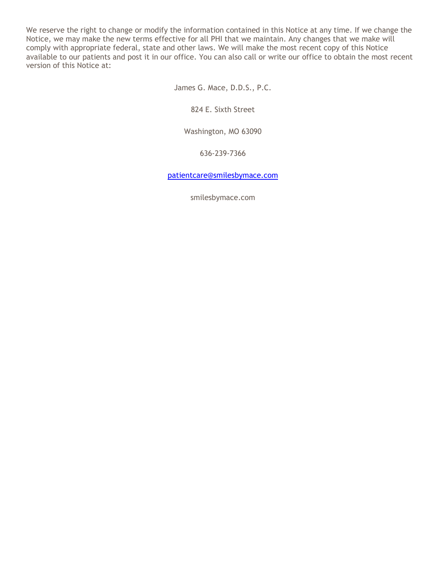We reserve the right to change or modify the information contained in this Notice at any time. If we change the Notice, we may make the new terms effective for all PHI that we maintain. Any changes that we make will comply with appropriate federal, state and other laws. We will make the most recent copy of this Notice available to our patients and post it in our office. You can also call or write our office to obtain the most recent version of this Notice at:

James G. Mace, D.D.S., P.C.

824 E. Sixth Street

Washington, MO 63090

636-239-7366

[patientcare@smilesbymace.com](mailto:patientcare@smilesbymace.com)

smilesbymace.com